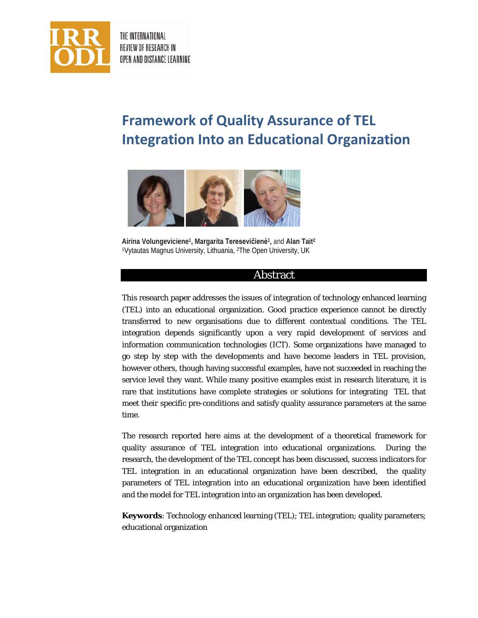

# **Framework of Quality Assurance of TEL Integration Into an Educational Organization**



**Airina Volungeviciene1, Margarita Teresevičienė1,** and **Alan Tait2** 1Vytautas Magnus University, Lithuania, 2The Open University, UK

### Abstract

This research paper addresses the issues of integration of technology enhanced learning (TEL) into an educational organization. Good practice experience cannot be directly transferred to new organisations due to different contextual conditions. The TEL integration depends significantly upon a very rapid development of services and information communication technologies (ICT). Some organizations have managed to go step by step with the developments and have become leaders in TEL provision, however others, though having successful examples, have not succeeded in reaching the service level they want. While many positive examples exist in research literature, it is rare that institutions have complete strategies or solutions for integrating TEL that meet their specific pre-conditions and satisfy quality assurance parameters at the same time.

The research reported here aims at the development of a theoretical framework for quality assurance of TEL integration into educational organizations. During the research, the development of the TEL concept has been discussed, success indicators for TEL integration in an educational organization have been described, the quality parameters of TEL integration into an educational organization have been identified and the model for TEL integration into an organization has been developed.

**Keywords**: Technology enhanced learning (TEL); TEL integration; quality parameters; educational organization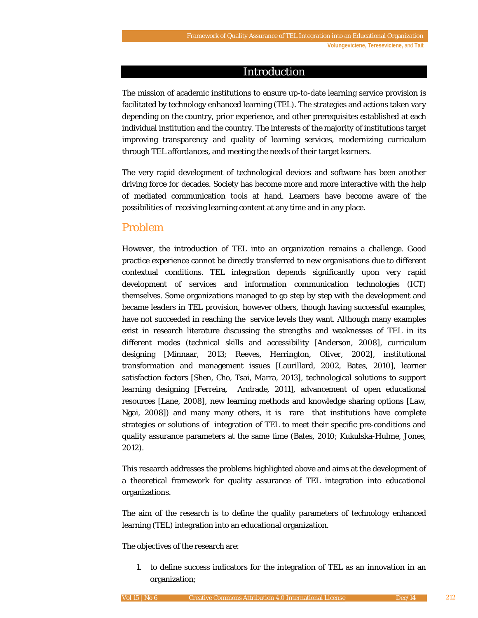#### Introduction

The mission of academic institutions to ensure up-to-date learning service provision is facilitated by technology enhanced learning (TEL). The strategies and actions taken vary depending on the country, prior experience, and other prerequisites established at each individual institution and the country. The interests of the majority of institutions target improving transparency and quality of learning services, modernizing curriculum through TEL affordances, and meeting the needs of their target learners.

The very rapid development of technological devices and software has been another driving force for decades. Society has become more and more interactive with the help of mediated communication tools at hand. Learners have become aware of the possibilities of receiving learning content at any time and in any place.

### Problem

However, the introduction of TEL into an organization remains a challenge. Good practice experience cannot be directly transferred to new organisations due to different contextual conditions. TEL integration depends significantly upon very rapid development of services and information communication technologies (ICT) themselves. Some organizations managed to go step by step with the development and became leaders in TEL provision, however others, though having successful examples, have not succeeded in reaching the service levels they want. Although many examples exist in research literature discussing the strengths and weaknesses of TEL in its different modes (technical skills and accessibility [Anderson, 2008], curriculum designing [Minnaar, 2013; Reeves, Herrington, Oliver, 2002], institutional transformation and management issues [Laurillard, 2002, Bates, 2010], learner satisfaction factors [Shen, Cho, Tsai, Marra, 2013], technological solutions to support learning designing [Ferreira, Andrade, 2011], advancement of open educational resources [Lane, 2008], new learning methods and knowledge sharing options [Law, Ngai, 2008]) and many many others, it is rare that institutions have complete strategies or solutions of integration of TEL to meet their specific pre-conditions and quality assurance parameters at the same time (Bates, 2010; Kukulska-Hulme, Jones, 2012).

This research addresses the problems highlighted above and aims at the development of a theoretical framework for quality assurance of TEL integration into educational organizations.

The aim of the research is to define the quality parameters of technology enhanced learning (TEL) integration into an educational organization.

The objectives of the research are:

1. to define success indicators for the integration of TEL as an innovation in an organization;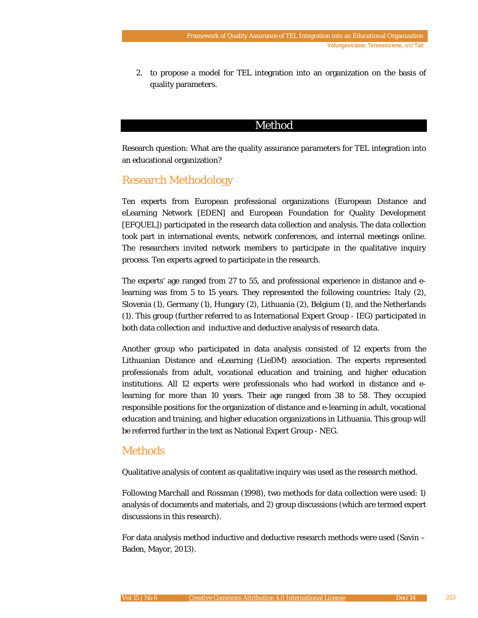2. to propose a model for TEL integration into an organization on the basis of quality parameters.

### Method

Research question: What are the quality assurance parameters for TEL integration into an educational organization?

# Research Methodology

Ten experts from European professional organizations (European Distance and eLearning Network [EDEN] and European Foundation for Quality Development [EFQUEL]) participated in the research data collection and analysis. The data collection took part in international events, network conferences, and internal meetings online. The researchers invited network members to participate in the qualitative inquiry process. Ten experts agreed to participate in the research.

The experts' age ranged from 27 to 55, and professional experience in distance and elearning was from 5 to 15 years. They represented the following countries: Italy (2), Slovenia (1), Germany (1), Hungary (2), Lithuania (2), Belgium (1), and the Netherlands (1). This group (further referred to as International Expert Group - IEG) participated in both data collection and inductive and deductive analysis of research data.

Another group who participated in data analysis consisted of 12 experts from the Lithuanian Distance and eLearning (LieDM) association. The experts represented professionals from adult, vocational education and training, and higher education institutions. All 12 experts were professionals who had worked in distance and elearning for more than 10 years. Their age ranged from 38 to 58. They occupied responsible positions for the organization of distance and e-learning in adult, vocational education and training, and higher education organizations in Lithuania. This group will be referred further in the text as National Expert Group - NEG.

### Methods

Qualitative analysis of content as qualitative inquiry was used as the research method.

Following Marchall and Rossman (1998), two methods for data collection were used: 1) analysis of documents and materials, and 2) group discussions (which are termed expert discussions in this research).

For data analysis method inductive and deductive research methods were used (Savin – Baden, Mayor, 2013).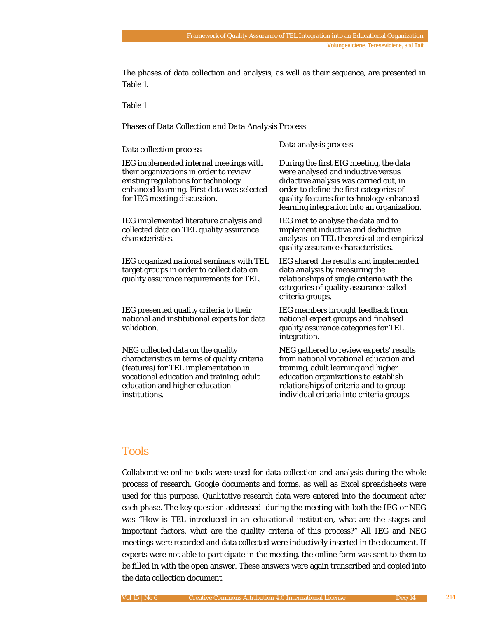The phases of data collection and analysis, as well as their sequence, are presented in Table 1.

Table 1

#### *Phases of Data Collection and Data Analysis Process*

| Data collection process                                                                                                                                                                                                  | Data analysis process                                                                                                                                                                                                                                       |
|--------------------------------------------------------------------------------------------------------------------------------------------------------------------------------------------------------------------------|-------------------------------------------------------------------------------------------------------------------------------------------------------------------------------------------------------------------------------------------------------------|
| IEG implemented internal meetings with<br>their organizations in order to review<br>existing regulations for technology<br>enhanced learning. First data was selected<br>for IEG meeting discussion.                     | During the first EIG meeting, the data<br>were analysed and inductive versus<br>didactive analysis was carried out, in<br>order to define the first categories of<br>quality features for technology enhanced<br>learning integration into an organization. |
| IEG implemented literature analysis and<br>collected data on TEL quality assurance<br>characteristics.                                                                                                                   | IEG met to analyse the data and to<br>implement inductive and deductive<br>analysis on TEL theoretical and empirical<br>quality assurance characteristics.                                                                                                  |
| IEG organized national seminars with TEL<br>target groups in order to collect data on<br>quality assurance requirements for TEL.                                                                                         | IEG shared the results and implemented<br>data analysis by measuring the<br>relationships of single criteria with the<br>categories of quality assurance called<br>criteria groups.                                                                         |
| IEG presented quality criteria to their<br>national and institutional experts for data<br>validation.                                                                                                                    | IEG members brought feedback from<br>national expert groups and finalised<br>quality assurance categories for TEL<br>integration.                                                                                                                           |
| NEG collected data on the quality<br>characteristics in terms of quality criteria<br>(features) for TEL implementation in<br>vocational education and training, adult<br>education and higher education<br>institutions. | NEG gathered to review experts' results<br>from national vocational education and<br>training, adult learning and higher<br>education organizations to establish<br>relationships of criteria and to group<br>individual criteria into criteria groups.     |

# Tools

Collaborative online tools were used for data collection and analysis during the whole process of research. Google documents and forms, as well as Excel spreadsheets were used for this purpose. Qualitative research data were entered into the document after each phase. The key question addressed during the meeting with both the IEG or NEG was "How is TEL introduced in an educational institution, what are the stages and important factors, what are the quality criteria of this process?" All IEG and NEG meetings were recorded and data collected were inductively inserted in the document. If experts were not able to participate in the meeting, the online form was sent to them to be filled in with the open answer. These answers were again transcribed and copied into the data collection document.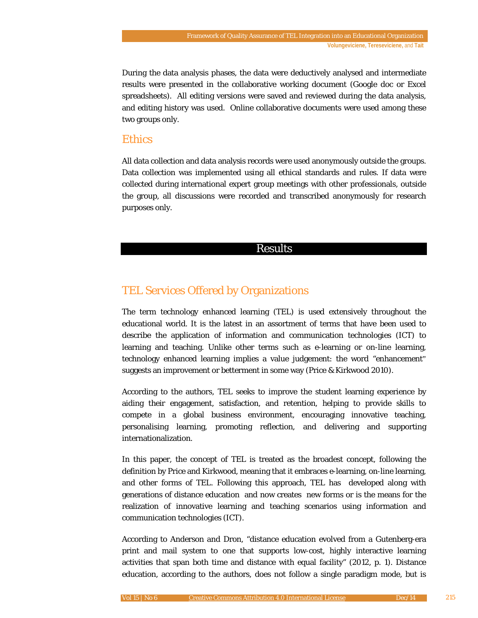During the data analysis phases, the data were deductively analysed and intermediate results were presented in the collaborative working document (Google doc or Excel spreadsheets). All editing versions were saved and reviewed during the data analysis, and editing history was used. Online collaborative documents were used among these two groups only.

### **Ethics**

All data collection and data analysis records were used anonymously outside the groups. Data collection was implemented using all ethical standards and rules. If data were collected during international expert group meetings with other professionals, outside the group, all discussions were recorded and transcribed anonymously for research purposes only.

### Results

# TEL Services Offered by Organizations

The term technology enhanced learning (TEL) is used extensively throughout the educational world. It is the latest in an assortment of terms that have been used to describe the application of information and communication technologies (ICT) to learning and teaching. Unlike other terms such as e-learning or on-line learning, technology enhanced learning implies a value judgement: the word "enhancement" suggests an improvement or betterment in some way (Price & Kirkwood 2010).

According to the authors, TEL seeks to improve the student learning experience by aiding their engagement, satisfaction, and retention, helping to provide skills to compete in a global business environment, encouraging innovative teaching, personalising learning, promoting reflection, and delivering and supporting internationalization.

In this paper, the concept of TEL is treated as the broadest concept, following the definition by Price and Kirkwood, meaning that it embraces e-learning, on-line learning, and other forms of TEL. Following this approach, TEL has developed along with generations of distance education and now creates new forms or is the means for the realization of innovative learning and teaching scenarios using information and communication technologies (ICT).

According to Anderson and Dron, "distance education evolved from a Gutenberg-era print and mail system to one that supports low-cost, highly interactive learning activities that span both time and distance with equal facility" (2012, p. 1). Distance education, according to the authors, does not follow a single paradigm mode, but is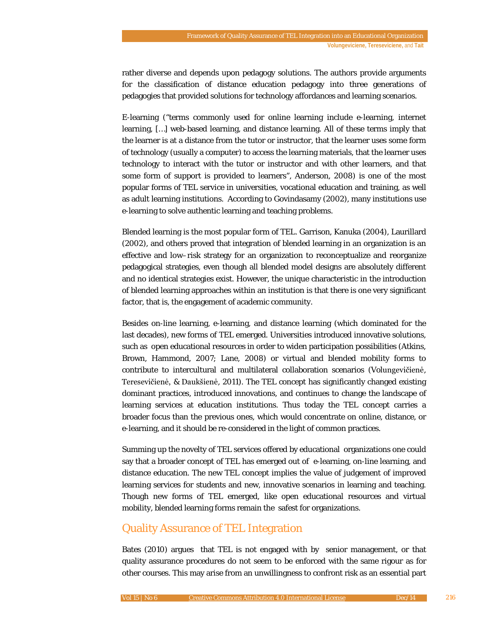rather diverse and depends upon pedagogy solutions. The authors provide arguments for the classification of distance education pedagogy into three generations of pedagogies that provided solutions for technology affordances and learning scenarios.

E-learning ("terms commonly used for online learning include e-learning, internet learning, […] web-based learning, and distance learning. All of these terms imply that the learner is at a distance from the tutor or instructor, that the learner uses some form of technology (usually a computer) to access the learning materials, that the learner uses technology to interact with the tutor or instructor and with other learners, and that some form of support is provided to learners", Anderson, 2008) is one of the most popular forms of TEL service in universities, vocational education and training, as well as adult learning institutions. According to Govindasamy (2002), many institutions use e-learning to solve authentic learning and teaching problems.

Blended learning is the most popular form of TEL. Garrison, Kanuka (2004), Laurillard (2002), and others proved that integration of blended learning in an organization is an effective and low–risk strategy for an organization to reconceptualize and reorganize pedagogical strategies, even though all blended model designs are absolutely different and no identical strategies exist. However, the unique characteristic in the introduction of blended learning approaches within an institution is that there is one very significant factor, that is, the engagement of academic community.

Besides on-line learning, e-learning, and distance learning (which dominated for the last decades), new forms of TEL emerged. Universities introduced innovative solutions, such as open educational resources in order to widen participation possibilities (Atkins, Brown, Hammond, 2007; Lane, 2008) or virtual and blended mobility forms to contribute to intercultural and multilateral collaboration scenarios (Volungevičienė, Teresevičienė, & Daukšienė, 2011). The TEL concept has significantly changed existing dominant practices, introduced innovations, and continues to change the landscape of learning services at education institutions. Thus today the TEL concept carries a broader focus than the previous ones, which would concentrate on online, distance, or e-learning, and it should be re-considered in the light of common practices.

Summing up the novelty of TEL services offered by educational organizations one could say that a broader concept of TEL has emerged out of e-learning, on-line learning, and distance education. The new TEL concept implies the value of judgement of improved learning services for students and new, innovative scenarios in learning and teaching. Though new forms of TEL emerged, like open educational resources and virtual mobility, blended learning forms remain the safest for organizations.

# Quality Assurance of TEL Integration

Bates (2010) argues that TEL is not engaged with by senior management, or that quality assurance procedures do not seem to be enforced with the same rigour as for other courses. This may arise from an unwillingness to confront risk as an essential part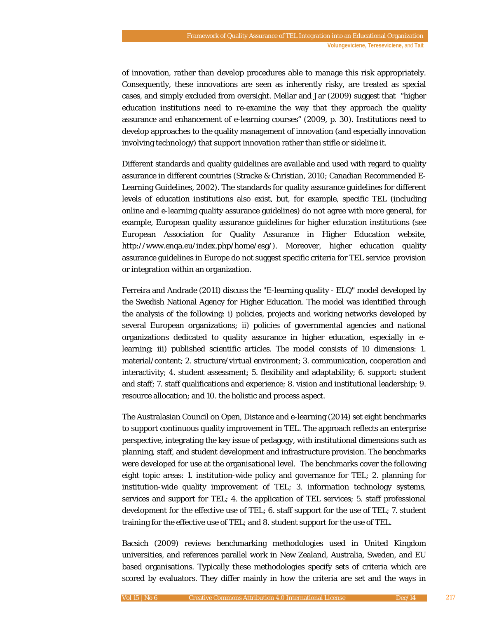of innovation, rather than develop procedures able to manage this risk appropriately. Consequently, these innovations are seen as inherently risky, are treated as special cases, and simply excluded from oversight. Mellar and Jar (2009) suggest that "higher education institutions need to re-examine the way that they approach the quality assurance and enhancement of e-learning courses" (2009, p. 30). Institutions need to develop approaches to the quality management of innovation (and especially innovation involving technology) that support innovation rather than stifle or sideline it.

Different standards and quality guidelines are available and used with regard to quality assurance in different countries (Stracke & Christian, 2010; Canadian Recommended E-Learning Guidelines, 2002). The standards for quality assurance guidelines for different levels of education institutions also exist, but, for example, specific TEL (including online and e-learning quality assurance guidelines) do not agree with more general, for example, European quality assurance guidelines for higher education institutions (see European Association for Quality Assurance in Higher Education website, http://www.enqa.eu/index.php/home/esg/). Moreover, higher education quality assurance guidelines in Europe do not suggest specific criteria for TEL service provision or integration within an organization.

Ferreira and Andrade (2011) discuss the "E-learning quality - ELQ" model developed by the Swedish National Agency for Higher Education. The model was identified through the analysis of the following: i) policies, projects and working networks developed by several European organizations; ii) policies of governmental agencies and national organizations dedicated to quality assurance in higher education, especially in elearning; iii) published scientific articles. The model consists of 10 dimensions: 1. material/content; 2. structure/virtual environment; 3. communication, cooperation and interactivity; 4. student assessment; 5. flexibility and adaptability; 6. support: student and staff; 7. staff qualifications and experience; 8. vision and institutional leadership; 9. resource allocation; and 10. the holistic and process aspect.

The Australasian Council on Open, Distance and e-learning (2014) set eight benchmarks to support continuous quality improvement in TEL. The approach reflects an enterprise perspective, integrating the key issue of pedagogy, with institutional dimensions such as planning, staff, and student development and infrastructure provision. The benchmarks were developed for use at the organisational level. The benchmarks cover the following eight topic areas: 1. institution-wide policy and governance for TEL; 2. planning for institution-wide quality improvement of TEL; 3. information technology systems, services and support for TEL; 4. the application of TEL services; 5. staff professional development for the effective use of TEL; 6. staff support for the use of TEL; 7. student training for the effective use of TEL; and 8. student support for the use of TEL.

Bacsich (2009) reviews benchmarking methodologies used in United Kingdom universities, and references parallel work in New Zealand, Australia, Sweden, and EU based organisations. Typically these methodologies specify sets of criteria which are scored by evaluators. They differ mainly in how the criteria are set and the ways in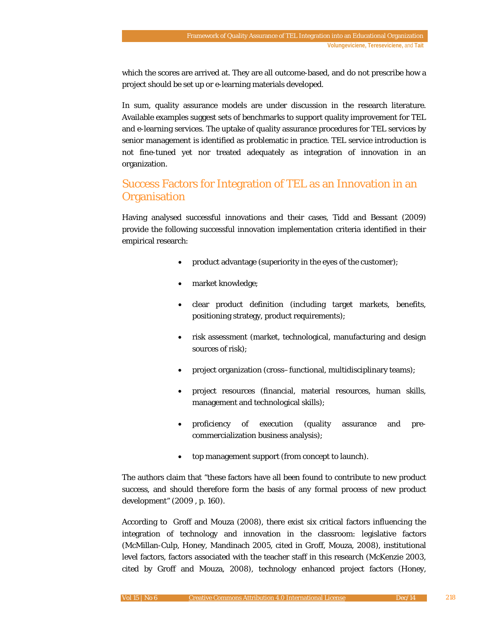which the scores are arrived at. They are all outcome-based, and do not prescribe how a project should be set up or e-learning materials developed.

In sum, quality assurance models are under discussion in the research literature. Available examples suggest sets of benchmarks to support quality improvement for TEL and e-learning services. The uptake of quality assurance procedures for TEL services by senior management is identified as problematic in practice. TEL service introduction is not fine-tuned yet nor treated adequately as integration of innovation in an organization.

# Success Factors for Integration of TEL as an Innovation in an **Organisation**

Having analysed successful innovations and their cases, Tidd and Bessant (2009) provide the following successful innovation implementation criteria identified in their empirical research:

- product advantage (superiority in the eyes of the customer);
- market knowledge;
- clear product definition (including target markets, benefits, positioning strategy, product requirements);
- risk assessment (market, technological, manufacturing and design sources of risk);
- project organization (cross–functional, multidisciplinary teams);
- project resources (financial, material resources, human skills, management and technological skills);
- proficiency of execution (quality assurance and precommercialization business analysis);
- top management support (from concept to launch).

The authors claim that "these factors have all been found to contribute to new product success, and should therefore form the basis of any formal process of new product development" (2009 , p. 160).

According to Groff and Mouza (2008), there exist six critical factors influencing the integration of technology and innovation in the classroom: legislative factors (McMillan-Culp, Honey, Mandinach 2005, cited in Groff, Mouza, 2008), institutional level factors, factors associated with the teacher staff in this research (McKenzie 2003, cited by Groff and Mouza, 2008), technology enhanced project factors (Honey,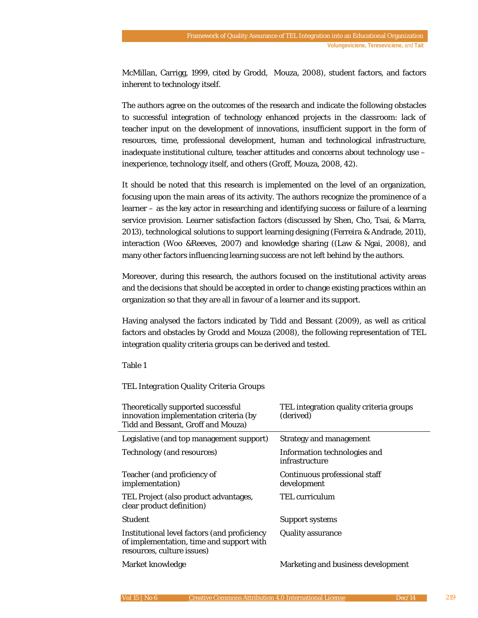McMillan, Carrigg, 1999, cited by Grodd, Mouza, 2008), student factors, and factors inherent to technology itself.

The authors agree on the outcomes of the research and indicate the following obstacles to successful integration of technology enhanced projects in the classroom: lack of teacher input on the development of innovations, insufficient support in the form of resources, time, professional development, human and technological infrastructure, inadequate institutional culture, teacher attitudes and concerns about technology use – inexperience, technology itself, and others (Groff, Mouza, 2008, 42).

It should be noted that this research is implemented on the level of an organization, focusing upon the main areas of its activity. The authors recognize the prominence of a learner – as the key actor in researching and identifying success or failure of a learning service provision. Learner satisfaction factors (discussed by Shen, Cho, Tsai, & Marra, 2013), technological solutions to support learning designing (Ferreira & Andrade, 2011), interaction (Woo &Reeves, 2007) and knowledge sharing ((Law & Ngai, 2008), and many other factors influencing learning success are not left behind by the authors.

Moreover, during this research, the authors focused on the institutional activity areas and the decisions that should be accepted in order to change existing practices within an organization so that they are all in favour of a learner and its support.

Having analysed the factors indicated by Tidd and Bessant (2009), as well as critical factors and obstacles by Grodd and Mouza (2008), the following representation of TEL integration quality criteria groups can be derived and tested.

#### Table 1

#### *TEL Integration Quality Criteria Groups*

| Theoretically supported successful<br>innovation implementation criteria (by<br>Tidd and Bessant, Groff and Mouza)     | TEL integration quality criteria groups<br>(derived) |
|------------------------------------------------------------------------------------------------------------------------|------------------------------------------------------|
| Legislative (and top management support)                                                                               | <b>Strategy and management</b>                       |
| <b>Technology (and resources)</b>                                                                                      | Information technologies and<br>infrastructure       |
| Teacher (and proficiency of<br>implementation)                                                                         | Continuous professional staff<br>development         |
| TEL Project (also product advantages,<br>clear product definition)                                                     | TEL curriculum                                       |
| <b>Student</b>                                                                                                         | <b>Support systems</b>                               |
| Institutional level factors (and proficiency<br>of implementation, time and support with<br>resources, culture issues) | <b>Quality assurance</b>                             |
| Market knowledge                                                                                                       | Marketing and business development                   |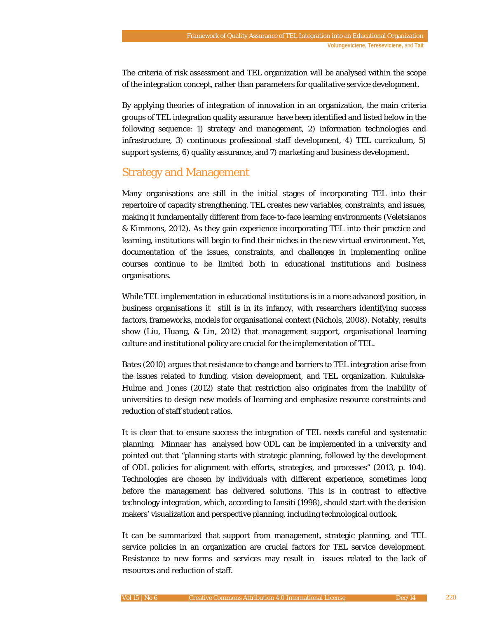The criteria of risk assessment and TEL organization will be analysed within the scope of the integration concept, rather than parameters for qualitative service development.

By applying theories of integration of innovation in an organization, the main criteria groups of TEL integration quality assurance have been identified and listed below in the following sequence: 1) strategy and management, 2) information technologies and infrastructure, 3) continuous professional staff development, 4) TEL curriculum, 5) support systems, 6) quality assurance, and 7) marketing and business development.

# Strategy and Management

Many organisations are still in the initial stages of incorporating TEL into their repertoire of capacity strengthening. TEL creates new variables, constraints, and issues, making it fundamentally different from face-to-face learning environments (Veletsianos & Kimmons, 2012). As they gain experience incorporating TEL into their practice and learning, institutions will begin to find their niches in the new virtual environment. Yet, documentation of the issues, constraints, and challenges in implementing online courses continue to be limited both in educational institutions and business organisations.

While TEL implementation in educational institutions is in a more advanced position, in business organisations it still is in its infancy, with researchers identifying success factors, frameworks, models for organisational context (Nichols, 2008). Notably, results show (Liu, Huang, & Lin, 2012) that management support, organisational learning culture and institutional policy are crucial for the implementation of TEL.

Bates (2010) argues that resistance to change and barriers to TEL integration arise from the issues related to funding, vision development, and TEL organization. Kukulska-Hulme and Jones (2012) state that restriction also originates from the inability of universities to design new models of learning and emphasize resource constraints and reduction of staff student ratios.

It is clear that to ensure success the integration of TEL needs careful and systematic planning. Minnaar has analysed how ODL can be implemented in a university and pointed out that "planning starts with strategic planning, followed by the development of ODL policies for alignment with efforts, strategies, and processes" (2013, p. 104). Technologies are chosen by individuals with different experience, sometimes long before the management has delivered solutions. This is in contrast to effective technology integration, which, according to Iansiti (1998), should start with the decision makers' visualization and perspective planning, including technological outlook.

It can be summarized that support from management, strategic planning, and TEL service policies in an organization are crucial factors for TEL service development. Resistance to new forms and services may result in issues related to the lack of resources and reduction of staff.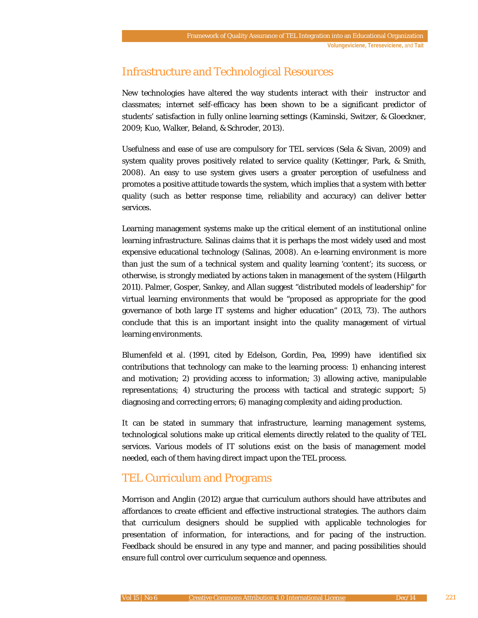# Infrastructure and Technological Resources

New technologies have altered the way students interact with their instructor and classmates; internet self-efficacy has been shown to be a significant predictor of students' satisfaction in fully online learning settings (Kaminski, Switzer, & Gloeckner, 2009; Kuo, Walker, Beland, & Schroder, 2013).

Usefulness and ease of use are compulsory for TEL services (Sela & Sivan, 2009) and system quality proves positively related to service quality (Kettinger, Park, & Smith, 2008). An easy to use system gives users a greater perception of usefulness and promotes a positive attitude towards the system, which implies that a system with better quality (such as better response time, reliability and accuracy) can deliver better services.

Learning management systems make up the critical element of an institutional online learning infrastructure. Salinas claims that it is perhaps the most widely used and most expensive educational technology (Salinas, 2008). An e-learning environment is more than just the sum of a technical system and quality learning 'content'; its success, or otherwise, is strongly mediated by actions taken in management of the system (Hilgarth 2011). Palmer, Gosper, Sankey, and Allan suggest "distributed models of leadership" for virtual learning environments that would be "proposed as appropriate for the good governance of both large IT systems and higher education" (2013, 73). The authors conclude that this is an important insight into the quality management of virtual learning environments.

Blumenfeld et al. (1991, cited by Edelson, Gordin, Pea, 1999) have identified six contributions that technology can make to the learning process: 1) enhancing interest and motivation; 2) providing access to information; 3) allowing active, manipulable representations; 4) structuring the process with tactical and strategic support; 5) diagnosing and correcting errors; 6) managing complexity and aiding production.

It can be stated in summary that infrastructure, learning management systems, technological solutions make up critical elements directly related to the quality of TEL services. Various models of IT solutions exist on the basis of management model needed, each of them having direct impact upon the TEL process.

### TEL Curriculum and Programs

Morrison and Anglin (2012) argue that curriculum authors should have attributes and affordances to create efficient and effective instructional strategies. The authors claim that curriculum designers should be supplied with applicable technologies for presentation of information, for interactions, and for pacing of the instruction. Feedback should be ensured in any type and manner, and pacing possibilities should ensure full control over curriculum sequence and openness.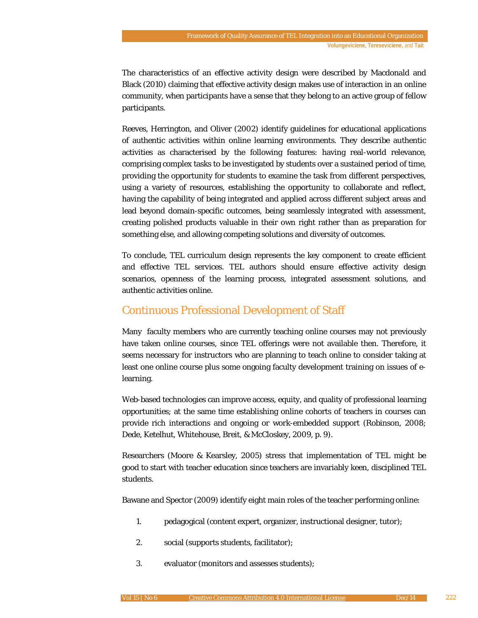The characteristics of an effective activity design were described by Macdonald and Black (2010) claiming that effective activity design makes use of interaction in an online community, when participants have a sense that they belong to an active group of fellow participants.

Reeves, Herrington, and Oliver (2002) identify guidelines for educational applications of authentic activities within online learning environments. They describe authentic activities as characterised by the following features: having real-world relevance, comprising complex tasks to be investigated by students over a sustained period of time, providing the opportunity for students to examine the task from different perspectives, using a variety of resources, establishing the opportunity to collaborate and reflect, having the capability of being integrated and applied across different subject areas and lead beyond domain-specific outcomes, being seamlessly integrated with assessment, creating polished products valuable in their own right rather than as preparation for something else, and allowing competing solutions and diversity of outcomes.

To conclude, TEL curriculum design represents the key component to create efficient and effective TEL services. TEL authors should ensure effective activity design scenarios, openness of the learning process, integrated assessment solutions, and authentic activities online.

# Continuous Professional Development of Staff

Many faculty members who are currently teaching online courses may not previously have taken online courses, since TEL offerings were not available then. Therefore, it seems necessary for instructors who are planning to teach online to consider taking at least one online course plus some ongoing faculty development training on issues of elearning.

Web-based technologies can improve access, equity, and quality of professional learning opportunities; at the same time establishing online cohorts of teachers in courses can provide rich interactions and ongoing or work-embedded support (Robinson, 2008; Dede, Ketelhut, Whitehouse, Breit, & McCloskey, 2009, p. 9).

Researchers (Moore & Kearsley, 2005) stress that implementation of TEL might be good to start with teacher education since teachers are invariably keen, disciplined TEL students.

Bawane and Spector (2009) identify eight main roles of the teacher performing online:

- 1. pedagogical (content expert, organizer, instructional designer, tutor);
- 2. social (supports students, facilitator);
- 3. evaluator (monitors and assesses students);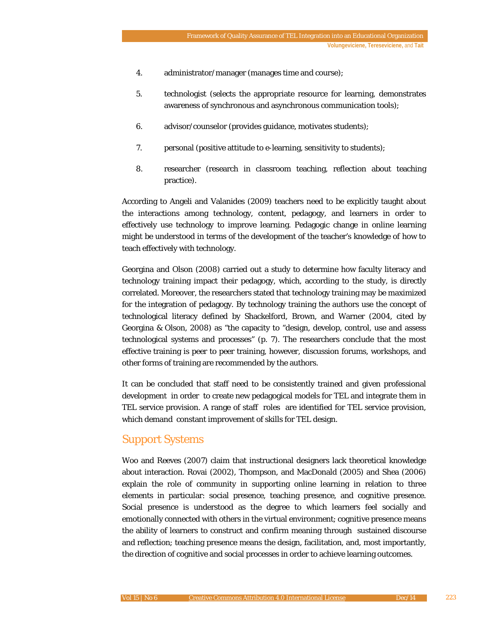- 4. administrator/manager (manages time and course);
- 5. technologist (selects the appropriate resource for learning, demonstrates awareness of synchronous and asynchronous communication tools);
- 6. advisor/counselor (provides guidance, motivates students);
- 7. personal (positive attitude to e-learning, sensitivity to students);
- 8. researcher (research in classroom teaching, reflection about teaching practice).

According to Angeli and Valanides (2009) teachers need to be explicitly taught about the interactions among technology, content, pedagogy, and learners in order to effectively use technology to improve learning. Pedagogic change in online learning might be understood in terms of the development of the teacher's knowledge of how to teach effectively with technology.

Georgina and Olson (2008) carried out a study to determine how faculty literacy and technology training impact their pedagogy, which, according to the study, is directly correlated. Moreover, the researchers stated that technology training may be maximized for the integration of pedagogy. By technology training the authors use the concept of technological literacy defined by Shackelford, Brown, and Warner (2004, cited by Georgina & Olson, 2008) as "the capacity to "design, develop, control, use and assess technological systems and processes" (p. 7). The researchers conclude that the most effective training is peer to peer training, however, discussion forums, workshops, and other forms of training are recommended by the authors.

It can be concluded that staff need to be consistently trained and given professional development in order to create new pedagogical models for TEL and integrate them in TEL service provision. A range of staff roles are identified for TEL service provision, which demand constant improvement of skills for TEL design.

### Support Systems

Woo and Reeves (2007) claim that instructional designers lack theoretical knowledge about interaction. Rovai (2002), Thompson, and MacDonald (2005) and Shea (2006) explain the role of community in supporting online learning in relation to three elements in particular: social presence, teaching presence, and cognitive presence. Social presence is understood as the degree to which learners feel socially and emotionally connected with others in the virtual environment; cognitive presence means the ability of learners to construct and confirm meaning through sustained discourse and reflection; teaching presence means the design, facilitation, and, most importantly, the direction of cognitive and social processes in order to achieve learning outcomes.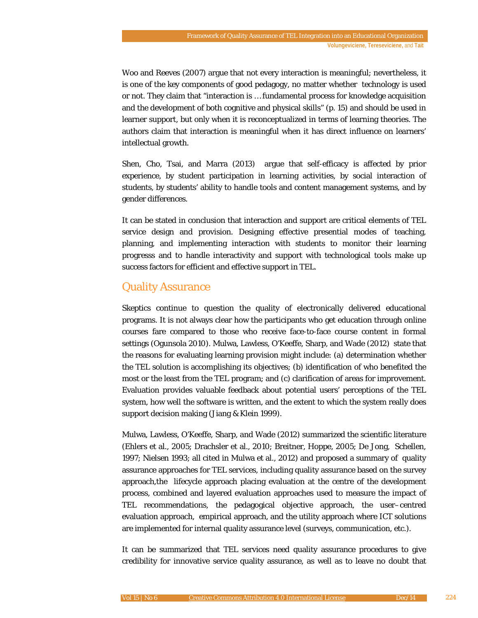Woo and Reeves (2007) argue that not every interaction is meaningful; nevertheless, it is one of the key components of good pedagogy, no matter whether technology is used or not. They claim that "interaction is … fundamental process for knowledge acquisition and the development of both cognitive and physical skills" (p. 15) and should be used in learner support, but only when it is reconceptualized in terms of learning theories. The authors claim that interaction is meaningful when it has direct influence on learners' intellectual growth.

Shen, Cho, Tsai, and Marra (2013) argue that self-efficacy is affected by prior experience, by student participation in learning activities, by social interaction of students, by students' ability to handle tools and content management systems, and by gender differences.

It can be stated in conclusion that interaction and support are critical elements of TEL service design and provision. Designing effective presential modes of teaching, planning, and implementing interaction with students to monitor their learning progresss and to handle interactivity and support with technological tools make up success factors for efficient and effective support in TEL.

# Quality Assurance

Skeptics continue to question the quality of electronically delivered educational programs. It is not always clear how the participants who get education through online courses fare compared to those who receive face-to-face course content in formal settings (Ogunsola 2010). Mulwa, Lawless, O'Keeffe, Sharp, and Wade (2012) state that the reasons for evaluating learning provision might include: (a) determination whether the TEL solution is accomplishing its objectives; (b) identification of who benefited the most or the least from the TEL program; and (c) clarification of areas for improvement. Evaluation provides valuable feedback about potential users' perceptions of the TEL system, how well the software is written, and the extent to which the system really does support decision making (Jiang & Klein 1999).

Mulwa, Lawless, O'Keeffe, Sharp, and Wade (2012) summarized the scientific literature (Ehlers et al., 2005; Drachsler et al., 2010; Breitner, Hoppe, 2005; De Jong, Schellen, 1997; Nielsen 1993; all cited in Mulwa et al., 2012) and proposed a summary of quality assurance approaches for TEL services, including quality assurance based on the survey approach,the lifecycle approach placing evaluation at the centre of the development process, combined and layered evaluation approaches used to measure the impact of TEL recommendations, the pedagogical objective approach, the user–centred evaluation approach, empirical approach, and the utility approach where ICT solutions are implemented for internal quality assurance level (surveys, communication, etc.).

It can be summarized that TEL services need quality assurance procedures to give credibility for innovative service quality assurance, as well as to leave no doubt that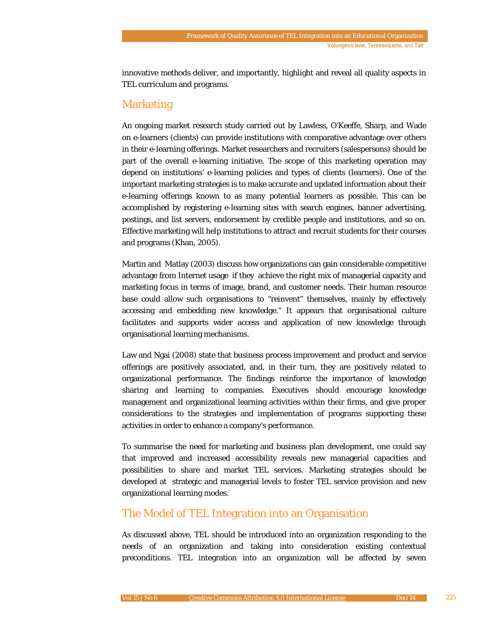innovative methods deliver, and importantly, highlight and reveal all quality aspects in TEL curriculum and programs.

## Marketing

An ongoing market research study carried out by Lawless, O'Keeffe, Sharp, and Wade on e-learners (clients) can provide institutions with comparative advantage over others in their e-learning offerings. Market researchers and recruiters (salespersons) should be part of the overall e-learning initiative. The scope of this marketing operation may depend on institutions' e-learning policies and types of clients (learners). One of the important marketing strategies is to make accurate and updated information about their e-learning offerings known to as many potential learners as possible. This can be accomplished by registering e-learning sites with search engines, banner advertising, postings, and list servers, endorsement by credible people and institutions, and so on. Effective marketing will help institutions to attract and recruit students for their courses and programs (Khan, 2005).

Martin and Matlay (2003) discuss how organizations can gain considerable competitive advantage from Internet usage if they achieve the right mix of managerial capacity and marketing focus in terms of image, brand, and customer needs. Their human resource base could allow such organisations to "reinvent" themselves, mainly by effectively accessing and embedding new knowledge." It appears that organisational culture facilitates and supports wider access and application of new knowledge through organisational learning mechanisms.

Law and Ngai (2008) state that business process improvement and product and service offerings are positively associated, and, in their turn, they are positively related to organizational performance. The findings reinforce the importance of knowledge sharing and learning to companies. Executives should encourage knowledge management and organizational learning activities within their firms, and give proper considerations to the strategies and implementation of programs supporting these activities in order to enhance a company's performance.

To summarise the need for marketing and business plan development, one could say that improved and increased accessibility reveals new managerial capacities and possibilities to share and market TEL services. Marketing strategies should be developed at strategic and managerial levels to foster TEL service provision and new organizational learning modes.

# The Model of TEL Integration into an Organisation

As discussed above, TEL should be introduced into an organization responding to the needs of an organization and taking into consideration existing contextual preconditions. TEL integration into an organization will be affected by seven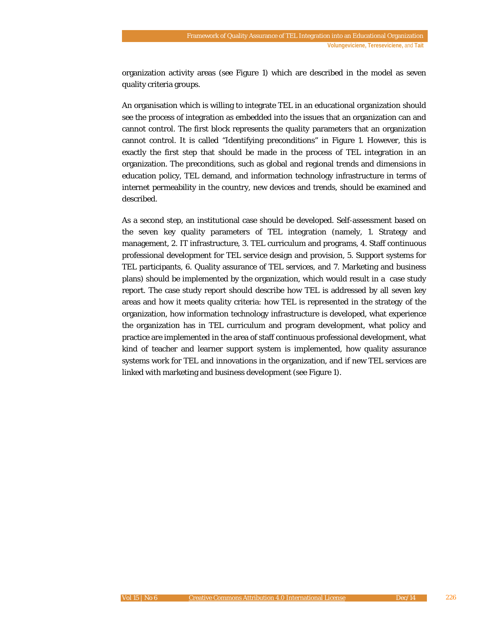organization activity areas (see Figure 1) which are described in the model as seven quality criteria groups.

An organisation which is willing to integrate TEL in an educational organization should see the process of integration as embedded into the issues that an organization can and cannot control. The first block represents the quality parameters that an organization cannot control. It is called "Identifying preconditions" in Figure 1. However, this is exactly the first step that should be made in the process of TEL integration in an organization. The preconditions, such as global and regional trends and dimensions in education policy, TEL demand, and information technology infrastructure in terms of internet permeability in the country, new devices and trends, should be examined and described.

As a second step, an institutional case should be developed. Self-assessment based on the seven key quality parameters of TEL integration (namely, 1. Strategy and management, 2. IT infrastructure, 3. TEL curriculum and programs, 4. Staff continuous professional development for TEL service design and provision, 5. Support systems for TEL participants, 6. Quality assurance of TEL services, and 7. Marketing and business plans) should be implemented by the organization, which would result in a case study report. The case study report should describe how TEL is addressed by all seven key areas and how it meets quality criteria: how TEL is represented in the strategy of the organization, how information technology infrastructure is developed, what experience the organization has in TEL curriculum and program development, what policy and practice are implemented in the area of staff continuous professional development, what kind of teacher and learner support system is implemented, how quality assurance systems work for TEL and innovations in the organization, and if new TEL services are linked with marketing and business development (see Figure 1).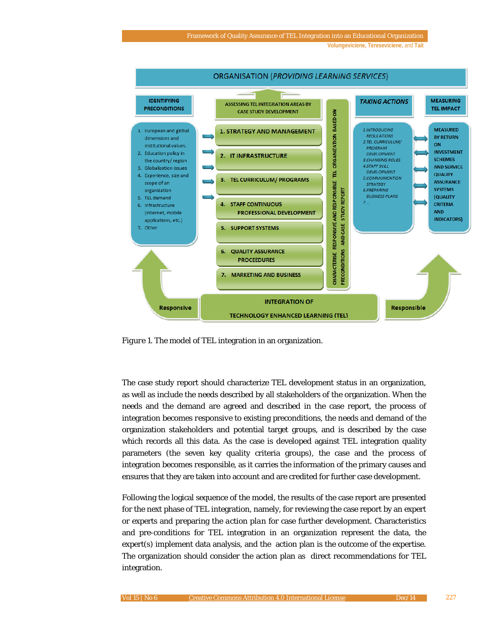

*Figure 1*. The model of TEL integration in an organization.

The case study report should characterize TEL development status in an organization, as well as include the needs described by all stakeholders of the organization. When the needs and the demand are agreed and described in the case report, the process of integration becomes *responsive* to existing preconditions, the needs and demand of the organization stakeholders and potential target groups, and is described by the case which records all this data. As the case is developed against TEL integration quality parameters (the seven key quality criteria groups), the case and the process of integration becomes *responsible,* as it carries the information of the primary causes and ensures that they are taken into account and are credited for further case development.

Following the logical sequence of the model, the results of the case report are presented for the next phase of TEL integration, namely, for reviewing the case report by an expert or experts and preparing the *action plan* for case further development. Characteristics and pre-conditions for TEL integration in an organization represent the data, the expert(s) implement data analysis, and the action plan is the outcome of the expertise. The organization should consider the action plan as direct recommendations for TEL integration.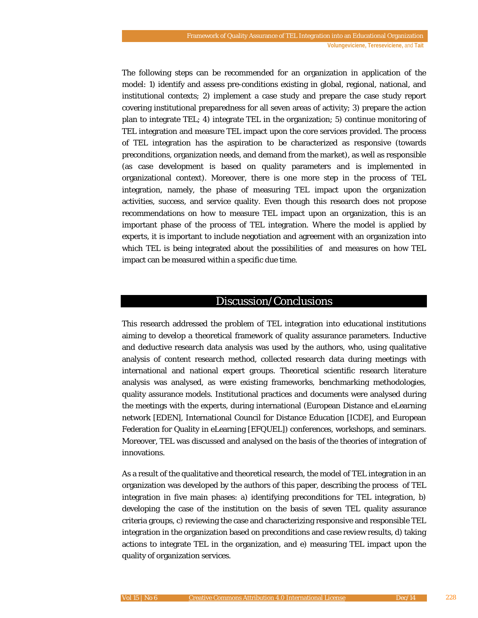The following steps can be recommended for an organization in application of the model: 1) identify and assess pre-conditions existing in global, regional, national, and institutional contexts; 2) implement a case study and prepare the case study report covering institutional preparedness for all seven areas of activity; 3) prepare the action plan to integrate TEL; 4) integrate TEL in the organization; 5) continue monitoring of TEL integration and measure TEL impact upon the core services provided. The process of TEL integration has the aspiration to be characterized as responsive (towards preconditions, organization needs, and demand from the market), as well as responsible (as case development is based on quality parameters and is implemented in organizational context). Moreover, there is one more step in the process of TEL integration, namely, the phase of measuring TEL impact upon the organization activities, success, and service quality. Even though this research does not propose recommendations on how to measure TEL impact upon an organization, this is an important phase of the process of TEL integration. Where the model is applied by experts, it is important to include negotiation and agreement with an organization into which TEL is being integrated about the possibilities of and measures on how TEL impact can be measured within a specific due time.

### Discussion/Conclusions

This research addressed the problem of TEL integration into educational institutions aiming to develop a theoretical framework of quality assurance parameters. Inductive and deductive research data analysis was used by the authors, who, using qualitative analysis of content research method, collected research data during meetings with international and national expert groups. Theoretical scientific research literature analysis was analysed, as were existing frameworks, benchmarking methodologies, quality assurance models. Institutional practices and documents were analysed during the meetings with the experts, during international (European Distance and eLearning network [EDEN], International Council for Distance Education [ICDE], and European Federation for Quality in eLearning [EFQUEL]) conferences, workshops, and seminars. Moreover, TEL was discussed and analysed on the basis of the theories of integration of innovations.

As a result of the qualitative and theoretical research, the model of TEL integration in an organization was developed by the authors of this paper, describing the process of TEL integration in five main phases: a) identifying preconditions for TEL integration, b) developing the case of the institution on the basis of seven TEL quality assurance criteria groups, c) reviewing the case and characterizing responsive and responsible TEL integration in the organization based on preconditions and case review results, d) taking actions to integrate TEL in the organization, and e) measuring TEL impact upon the quality of organization services.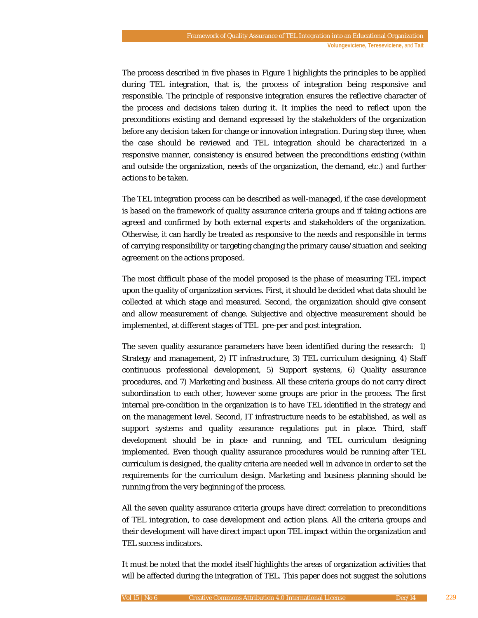The process described in five phases in Figure 1 highlights the principles to be applied during TEL integration, that is, the process of integration being responsive and responsible. The principle of responsive integration ensures the reflective character of the process and decisions taken during it. It implies the need to reflect upon the preconditions existing and demand expressed by the stakeholders of the organization before any decision taken for change or innovation integration. During step three, when the case should be reviewed and TEL integration should be characterized in a responsive manner, consistency is ensured between the preconditions existing (within and outside the organization, needs of the organization, the demand, etc.) and further actions to be taken.

The TEL integration process can be described as well-managed, if the case development is based on the framework of quality assurance criteria groups and if taking actions are agreed and confirmed by both external experts and stakeholders of the organization. Otherwise, it can hardly be treated as responsive to the needs and responsible in terms of carrying responsibility or targeting changing the primary cause/situation and seeking agreement on the actions proposed.

The most difficult phase of the model proposed is the phase of measuring TEL impact upon the quality of organization services. First, it should be decided what data should be collected at which stage and measured. Second, the organization should give consent and allow measurement of change. Subjective and objective measurement should be implemented, at different stages of TEL pre-per and post integration.

The seven quality assurance parameters have been identified during the research: 1) Strategy and management, 2) IT infrastructure, 3) TEL curriculum designing, 4) Staff continuous professional development, 5) Support systems, 6) Quality assurance procedures, and 7) Marketing and business. All these criteria groups do not carry direct subordination to each other, however some groups are prior in the process. The first internal pre-condition in the organization is to have TEL identified in the strategy and on the management level. Second, IT infrastructure needs to be established, as well as support systems and quality assurance regulations put in place. Third, staff development should be in place and running, and TEL curriculum designing implemented. Even though quality assurance procedures would be running after TEL curriculum is designed, the quality criteria are needed well in advance in order to set the requirements for the curriculum design. Marketing and business planning should be running from the very beginning of the process.

All the seven quality assurance criteria groups have direct correlation to preconditions of TEL integration, to case development and action plans. All the criteria groups and their development will have direct impact upon TEL impact within the organization and TEL success indicators.

It must be noted that the model itself highlights the areas of organization activities that will be affected during the integration of TEL. This paper does not suggest the solutions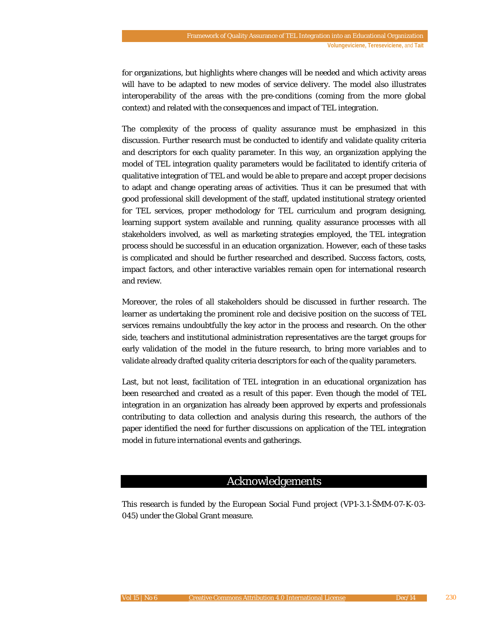for organizations, but highlights where changes will be needed and which activity areas will have to be adapted to new modes of service delivery. The model also illustrates interoperability of the areas with the pre-conditions (coming from the more global context) and related with the consequences and impact of TEL integration.

The complexity of the process of quality assurance must be emphasized in this discussion. Further research must be conducted to identify and validate quality criteria and descriptors for each quality parameter. In this way, an organization applying the model of TEL integration quality parameters would be facilitated to identify criteria of qualitative integration of TEL and would be able to prepare and accept proper decisions to adapt and change operating areas of activities. Thus it can be presumed that with good professional skill development of the staff, updated institutional strategy oriented for TEL services, proper methodology for TEL curriculum and program designing, learning support system available and running, quality assurance processes with all stakeholders involved, as well as marketing strategies employed, the TEL integration process should be successful in an education organization. However, each of these tasks is complicated and should be further researched and described. Success factors, costs, impact factors, and other interactive variables remain open for international research and review.

Moreover, the roles of all stakeholders should be discussed in further research. The learner as undertaking the prominent role and decisive position on the success of TEL services remains undoubtfully the key actor in the process and research. On the other side, teachers and institutional administration representatives are the target groups for early validation of the model in the future research, to bring more variables and to validate already drafted quality criteria descriptors for each of the quality parameters.

Last, but not least, facilitation of TEL integration in an educational organization has been researched and created as a result of this paper. Even though the model of TEL integration in an organization has already been approved by experts and professionals contributing to data collection and analysis during this research, the authors of the paper identified the need for further discussions on application of the TEL integration model in future international events and gatherings.

### Acknowledgements

This research is funded by the European Social Fund project (VP1-3.1-ŠMM-07-K-03- 045) under the Global Grant measure.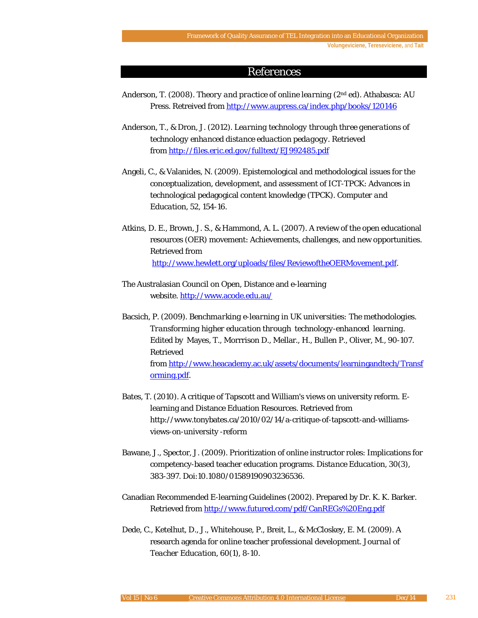#### References

- Anderson, T. (2008). *Theory and practice of online learning* (2nd ed). Athabasca: AU Press. Retreived from<http://www.aupress.ca/index.php/books/120146>
- Anderson, T., & Dron, J. (2012). *Learning technology through three generations of technology enhanced distance eduaction pedagogy*. Retrieved from *<http://files.eric.ed.gov/fulltext/EJ992485.pdf>*
- Angeli, C., & Valanides, N. (2009). Epistemological and methodological issues for the conceptualization, development, and assessment of ICT-TPCK: Advances in technological pedagogical content knowledge (TPCK). *Computer and Education*, *52*, 154-16.
- Atkins, D. E., Brown, J. S., & Hammond, A. L. (2007). A review of the open educational resources (OER) movement: Achievements, challenges, and new opportunities. Retrieved from [http://www.hewlett.org/uploads/files/ReviewoftheOERMovement.pdf.](http://www.hewlett.org/uploads/files/ReviewoftheOERMovement.pdf)
- The Australasian Council on Open, Distance and e-learning website[. http://www.acode.edu.au/](http://www.acode.edu.au/)
- Bacsich, P. (2009). *Benchmarking e-learning in UK universities: The methodologies. Transforming higher education through technology-enhanced learning*. Edited by Mayes, T., Morrrison D., Mellar., H., Bullen P., Oliver, M., 90-107. Retrieved from [http://www.heacademy.ac.uk/assets/documents/learningandtech/Transf](http://www.heacademy.ac.uk/assets/documents/learningandtech/Transforming.pdf) [orming.pdf.](http://www.heacademy.ac.uk/assets/documents/learningandtech/Transforming.pdf)
- Bates, T. (2010). A critique of Tapscott and William's views on university reform. Elearning and Distance Eduation Resources. Retrieved from http://www.tonybates.ca/2010/02/14/a-critique-of-tapscott-and-williamsviews-on-university -reform
- Bawane, J., Spector, J. (2009). Prioritization of online instructor roles: Implications for competency-based teacher education programs. *Distance Education, 30*(3), 383-397. Doi:10.1080/01589190903236536.
- Canadian Recommended E-learning Guidelines (2002). Prepared by Dr. K. K. Barker. Retrieved from<http://www.futured.com/pdf/CanREGs%20Eng.pdf>
- Dede, C., Ketelhut, D., J., Whitehouse, P., Breit, L., & McCloskey, E. M. (2009). A research agenda for online teacher professional development. *Journal of Teacher Education*, *60*(1), 8-10.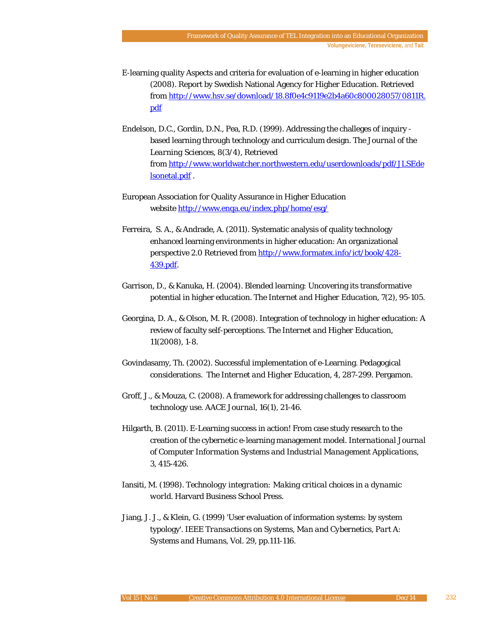- E-learning quality Aspects and criteria for evaluation of e-learning in higher education (2008). Report by Swedish National Agency for Higher Education. Retrieved from [http://www.hsv.se/download/18.8f0e4c9119e2b4a60c800028057/0811R.](http://www.hsv.se/download/18.8f0e4c9119e2b4a60c800028057/0811R.pdf) [pdf](http://www.hsv.se/download/18.8f0e4c9119e2b4a60c800028057/0811R.pdf)
- Endelson, D.C., Gordin, D.N., Pea, R.D. (1999). Addressing the challeges of inquiry based learning through technology and curriculum design. *The Journal of the Learning Sciences*, *8*(3/4), Retrieved from [http://www.worldwatcher.northwestern.edu/userdownloads/pdf/JLSEde](http://www.worldwatcher.northwestern.edu/userdownloads/pdf/JLSEdelsonetal.pdf) [lsonetal.pdf](http://www.worldwatcher.northwestern.edu/userdownloads/pdf/JLSEdelsonetal.pdf) .
- European Association for Quality Assurance in Higher Education website<http://www.enqa.eu/index.php/home/esg/>
- Ferreira, S. A., & Andrade, A. (2011). Systematic analysis of quality technology enhanced learning environments in higher education: An organizational perspective 2.0 Retrieved from [http://www.formatex.info/ict/book/428-](http://www.formatex.info/ict/book/428-439.pdf) [439.pdf.](http://www.formatex.info/ict/book/428-439.pdf)
- Garrison, D., & Kanuka, H. (2004). Blended learning: Uncovering its transformative potential in higher education. *The Internet and Higher Education, 7*(2), 95-105.
- Georgina, D. A., & Olson, M. R. (2008). Integration of technology in higher education: A review of faculty self-perceptions. *The Internet and Higher Education*, *11*(2008), 1-8.
- Govindasamy, Th. (2002). Successful implementation of e-Learning. Pedagogical considerations. *The Internet and Higher Education*, *4,* 287-299. Pergamon.
- Groff, J., & Mouza, C. (2008). A framework for addressing challenges to classroom technology use. *AACE Journal*, *16*(1), 21-46.
- Hilgarth, B. (2011). E-Learning success in action! From case study research to the creation of the cybernetic e-learning management model. *International Journal of Computer Information Systems and Industrial Management Applications*, 3*,* 415-426.
- Iansiti, M. (1998). *Technology integration: Making critical choices in a dynamic world*. Harvard Business School Press.
- Jiang, J. J., & Klein, G. (1999) 'User evaluation of information systems: by system typology'. *IEEE Transactions on Systems, Man and Cybernetics, Part A*: *Systems and Humans*, Vol. 29, pp.111-116.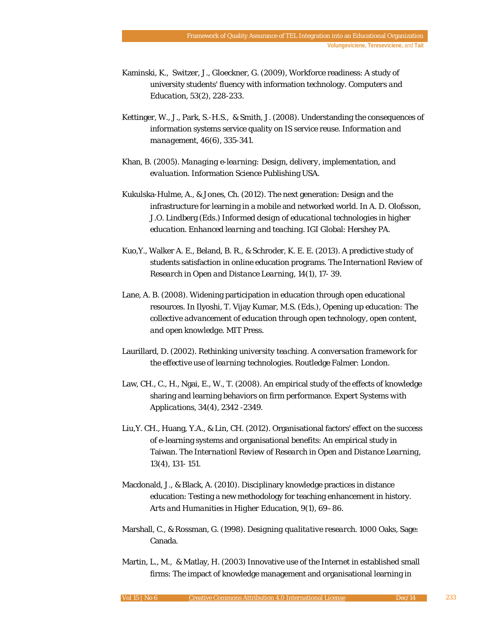- Kaminski, K., Switzer, J., Gloeckner, G. (2009), Workforce readiness: A study of university students' fluency with information technology. *Computers and Education*, *53*(2), 228-233.
- Kettinger, W., J., Park, S.-H.S., & Smith, J. (2008). Understanding the consequences of information systems service quality on IS service reuse. *Information and management*, *46*(6), 335-341.
- Khan, B. (2005). *Managing e-learning: Design, delivery, implementation, and evaluation.* Information Science Publishing USA.
- Kukulska-Hulme, A., & Jones, Ch. (2012). The next generation: Design and the infrastructure for learning in a mobile and networked world. In A. D. Olofsson, J.O. Lindberg (Eds.) *Informed design of educational technologies in higher education. Enhanced learning and teaching*. IGI Global: Hershey PA.
- Kuo,Y., Walker A. E., Beland, B. R., & Schroder, K. E. E. (2013). A predictive study of students satisfaction in online education programs. *The Internationl Review of Research in Open and Distance Learning*, *14*(1), 17- 39.
- Lane, A. B. (2008). Widening participation in education through open educational resources. In Ilyoshi, T. Vijay Kumar, M.S. (Eds.), *Opening up education: The collective advancement of education through open technology, open content, and open knowledge.* MIT Press.
- Laurillard, D. (2002). *Rethinking university teaching. A conversation framework for the effective use of learning technologies*. Routledge Falmer: London.
- Law, CH., C., H., Ngai, E., W., T. (2008). An empirical study of the effects of knowledge sharing and learning behaviors on firm performance. *Expert Systems with Applicati*ons, *34*(4), 2342 -2349.
- Liu,Y. CH., Huang, Y.A., & Lin, CH. (2012). Organisational factors' effect on the success of e-learning systems and organisational benefits: An empirical study in Taiwan. *The Internationl Review of Research in Open and Distance Learning, 13*(4), 131- 151.
- Macdonald, J., & Black, A. (2010). [Disciplinary knowledge practices in distance](http://oro.open.ac.uk/19840/)  [education: Testing a new methodology for teaching enhancement in history.](http://oro.open.ac.uk/19840/) *Arts and Humanities in Higher Education*, *9*(1), 69–86.
- Marshall, C., & Rossman, G. (1998). *Designing qualitative research*. 1000 Oaks, Sage: Canada.
- Martin, L., M., & Matlay, H. (2003) Innovative use of the Internet in established small firms: The impact of knowledge management and organisational learning in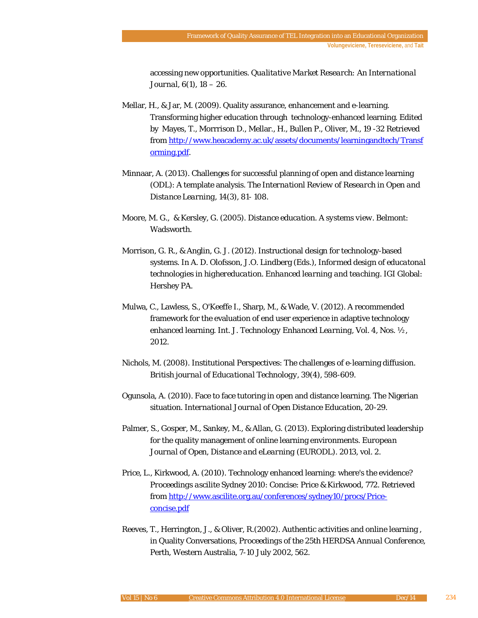accessing new opportunities. *Qualitative Market Research: An International Journal, 6*(1), 18 – 26.

- Mellar, H., & Jar, M. (2009). Quality assurance, enhancement and e-learning. Transforming higher education through technology-enhanced learning. Edited by Mayes, T., Morrrison D., Mellar., H., Bullen P., Oliver, M., 19 -32 Retrieved from [http://www.heacademy.ac.uk/assets/documents/learningandtech/Transf](http://www.heacademy.ac.uk/assets/documents/learningandtech/Transforming.pdf) [orming.pdf.](http://www.heacademy.ac.uk/assets/documents/learningandtech/Transforming.pdf)
- Minnaar, A. (2013). Challenges for successful planning of open and distance learning (ODL): A template analysis. *The Internationl Review of Research in Open and Distance Learning, 14*(3), 81- 108.
- Moore, M. G., & Kersley, G. (2005). *Distance education. A systems view*. Belmont: Wadsworth.
- Morrison, G. R., & Anglin, G. J. (2012). Instructional design for technology-based systems. In A. D. Olofsson, J.O. Lindberg (Eds.), *Informed design of educatonal technologies in highereducation. Enhanced learning and teaching*. IGI Global: Hershey PA.
- Mulwa, C., Lawless, S., O'Keeffe I., Sharp, M., & Wade, V. (2012). A recommended framework for the evaluation of end user experience in adaptive technology enhanced learning. *Int. J*. *Technology Enhanced Learning*, Vol. 4, Nos. ½, 2012.
- Nichols, M. (2008). Institutional Perspectives: The challenges of e-learning diffusion. *British journal of Educational Technology*, *39*(4), 598-609.
- Ogunsola, A. (2010). Face to face tutoring in open and distance learning. The Nigerian situation. *International Journal of Open Distance Education*, 20-29.
- Palmer, S., Gosper, M., Sankey, M., & Allan, G. (2013). Exploring distributed leadership for the quality management of online learning environments. *European Journal of Open, Distance and eLearning* (EURODL). 2013, vol. 2.
- Price, L., Kirkwood, A. (2010). Technology enhanced learning: where's the evidence? *Proceedings ascilite* Sydney 2010: Concise: Price & Kirkwood, 772. Retrieved from [http://www.ascilite.org.au/conferences/sydney10/procs/Price](http://www.ascilite.org.au/conferences/sydney10/procs/Price-concise.pdf)[concise.pdf](http://www.ascilite.org.au/conferences/sydney10/procs/Price-concise.pdf)
- Reeves, T., Herrington, J., & Oliver, R.(2002). Authentic activities and online learning , in Quality Conversations, *Proceedings of the 25th HERDSA Annual Conference*, Perth, Western Australia, 7-10 July 2002, 562.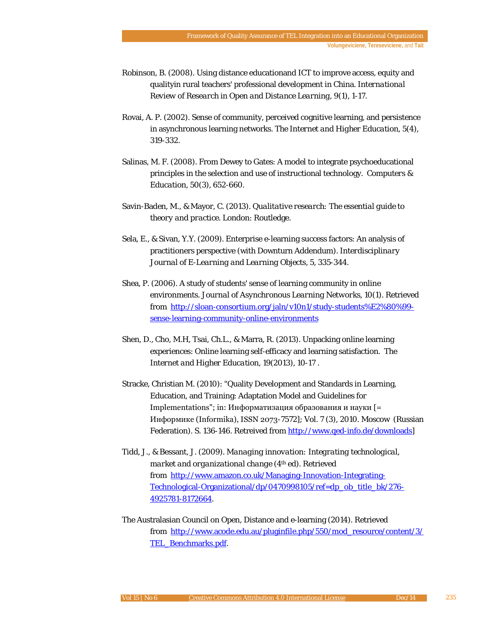- Robinson, B. (2008). Using distance educationand ICT to improve access, equity and qualityin rural teachers' professional development in China. *International Review of Research in Open and Distance Learning*, *9*(1), 1-17.
- Rovai, A. P. (2002). Sense of community, perceived cognitive learning, and persistence in asynchronous learning networks. *The Internet and Higher Education, 5*(4), 319-332.
- Salinas, M. F. (2008). From Dewey to Gates: A model to integrate psychoeducational principles in the selection and use of instructional technology. *Computers & Education*, *50*(3), 652-660.
- Savin-Baden, M., & Mayor, C. (2013). *Qualitative research: The essential guide to theory and practice*. London: Routledge.
- Sela, E., & Sivan, Y.Y. (2009). Enterprise e-learning success factors: An analysis of practitioners perspective (with Downturn Addendum). *Interdisciplinary Journal of E-Learning and Learning Objects*, *5*, 335-344.
- Shea, P. (2006). A study of students' sense of learning community in online environments. *Journal of Asynchronous Learning Networks*, *10*(1). Retrieved from [http://sloan-consortium.org/jaln/v10n1/study-students%E2%80%99](http://sloan-consortium.org/jaln/v10n1/study-students%E2%80%99-sense-learning-community-online-environments) [sense-learning-community-online-environments](http://sloan-consortium.org/jaln/v10n1/study-students%E2%80%99-sense-learning-community-online-environments)
- Shen, D., Cho, M.H, Tsai, Ch.L., & Marra, R. (2013). Unpacking online learning experiences: Online learning self-efficacy and learning satisfaction*. The Internet and Higher Education*, *19*(2013), 10-17 .
- Stracke, Christian M. (2010): "Quality Development and Standards in Learning, Education, and Training: Adaptation Model and Guidelines for Implementations"; in: Информатизация образования и науки [= Информике (Informika), ISSN 2073-7572]; Vol. 7 (3), 2010. Moscow (Russian Federation). S. 136-146. Retreived from [http://www.qed-info.de/downloads\]](http://www.qed-info.de/downloads)
- Tidd, J., & Bessant, J. (2009). *Managing innovation: Integrating technological, market and organizational change* (4th ed). Retrieved from [http://www.amazon.co.uk/Managing-Innovation-Integrating-](http://www.amazon.co.uk/Managing-Innovation-Integrating-Technological-Organizational/dp/0470998105/ref=dp_ob_title_bk/276-4925781-8172664)[Technological-Organizational/dp/0470998105/ref=dp\\_ob\\_title\\_bk/276-](http://www.amazon.co.uk/Managing-Innovation-Integrating-Technological-Organizational/dp/0470998105/ref=dp_ob_title_bk/276-4925781-8172664) [4925781-8172664.](http://www.amazon.co.uk/Managing-Innovation-Integrating-Technological-Organizational/dp/0470998105/ref=dp_ob_title_bk/276-4925781-8172664)
- The Australasian Council on Open, Distance and e-learning (2014). Retrieved from [http://www.acode.edu.au/pluginfile.php/550/mod\\_resource/content/3/](http://www.acode.edu.au/pluginfile.php/550/mod_resource/content/3/TEL_Benchmarks.pdf) [TEL\\_Benchmarks.pdf.](http://www.acode.edu.au/pluginfile.php/550/mod_resource/content/3/TEL_Benchmarks.pdf)